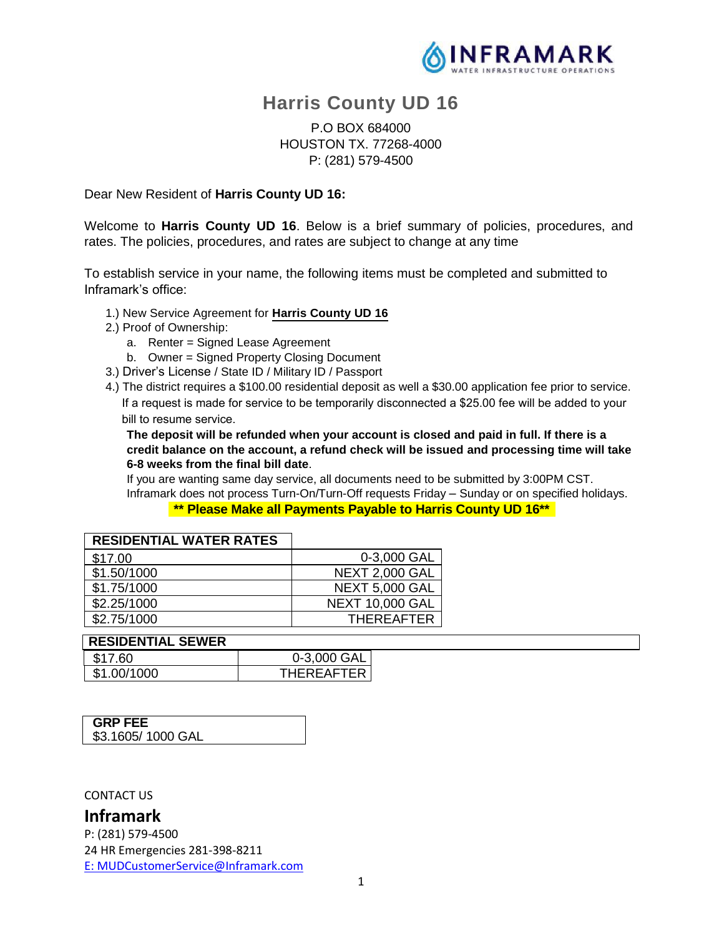

# **Harris County UD 16**

## P.O BOX 684000 HOUSTON TX. 77268-4000 P: (281) 579-4500

Dear New Resident of **Harris County UD 16:**

Welcome to **Harris County UD 16**. Below is a brief summary of policies, procedures, and rates. The policies, procedures, and rates are subject to change at any time

To establish service in your name, the following items must be completed and submitted to Inframark's office:

- 1.) New Service Agreement for **Harris County UD 16**
- 2.) Proof of Ownership:
	- a. Renter = Signed Lease Agreement
	- b. Owner = Signed Property Closing Document
- 3.) Driver's License / State ID / Military ID / Passport
- 4.) The district requires a \$100.00 residential deposit as well a \$30.00 application fee prior to service. If a request is made for service to be temporarily disconnected a \$25.00 fee will be added to your bill to resume service.

**The deposit will be refunded when your account is closed and paid in full. If there is a credit balance on the account, a refund check will be issued and processing time will take 6-8 weeks from the final bill date**.

If you are wanting same day service, all documents need to be submitted by 3:00PM CST. Inframark does not process Turn-On/Turn-Off requests Friday – Sunday or on specified holidays.

**\*\* Please Make all Payments Payable to Harris County UD 16\*\***

| <b>RESIDENTIAL WATER RATES</b> |                        |
|--------------------------------|------------------------|
| \$17.00                        | 0-3,000 GAL            |
| \$1.50/1000                    | <b>NEXT 2,000 GAL</b>  |
| \$1.75/1000                    | <b>NEXT 5,000 GAL</b>  |
| \$2.25/1000                    | <b>NEXT 10,000 GAL</b> |
| \$2.75/1000                    | <b>THEREAFTER</b>      |

#### **RESIDENTIAL SEWER**

| \$17.60     | 0-3,000 GAL  |
|-------------|--------------|
| \$1.00/1000 | THFRFAFTFR I |

| <b>GRP FEE</b>    |
|-------------------|
|                   |
| \$3.1605/1000 GAL |
|                   |

CONTACT US

**Inframark** P: (281) 579-4500 24 HR Emergencies 281-398-8211 E: MUDCustomerService@Inframark.com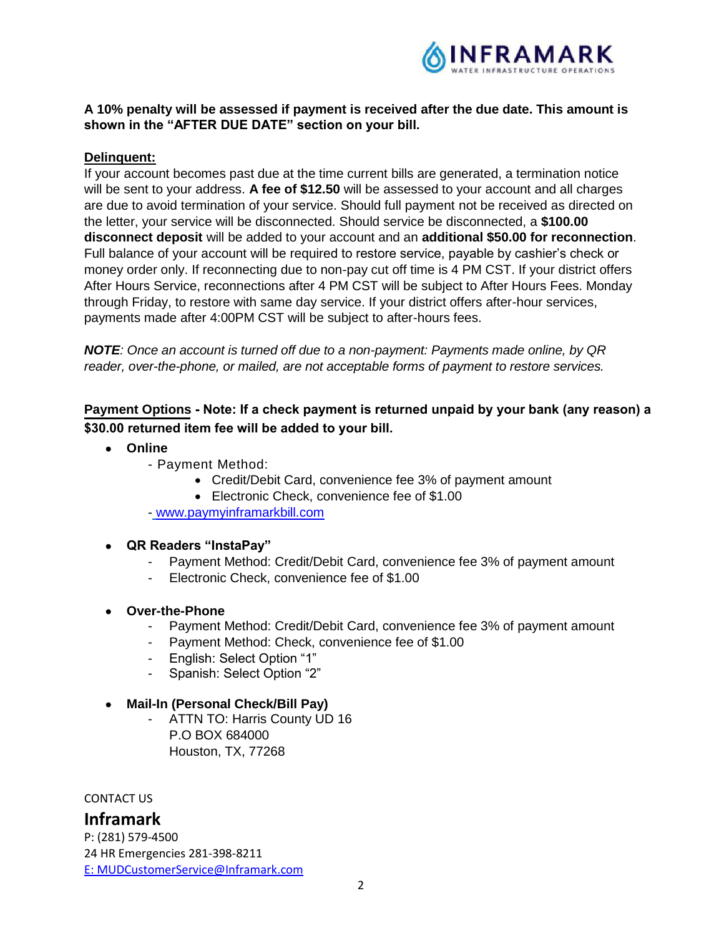

## **A 10% penalty will be assessed if payment is received after the due date. This amount is shown in the "AFTER DUE DATE" section on your bill.**

## **Delinquent:**

If your account becomes past due at the time current bills are generated, a termination notice will be sent to your address. **A fee of \$12.50** will be assessed to your account and all charges are due to avoid termination of your service. Should full payment not be received as directed on the letter, your service will be disconnected. Should service be disconnected, a **\$100.00 disconnect deposit** will be added to your account and an **additional \$50.00 for reconnection**. Full balance of your account will be required to restore service, payable by cashier's check or money order only. If reconnecting due to non-pay cut off time is 4 PM CST. If your district offers After Hours Service, reconnections after 4 PM CST will be subject to After Hours Fees. Monday through Friday, to restore with same day service. If your district offers after-hour services, payments made after 4:00PM CST will be subject to after-hours fees.

*NOTE: Once an account is turned off due to a non-payment: Payments made online, by QR reader, over-the-phone, or mailed, are not acceptable forms of payment to restore services.*

# **Payment Options Note: If a check payment is returned unpaid by your bank (any reason) a \$30.00 returned item fee will be added to your bill.**

- **Online**
	- Payment Method:
		- Credit/Debit Card, convenience fee 3% of payment amount
		- Electronic Check, convenience fee of \$1.00
		- www.paymyinframarkbill.com
- **QR Readers "InstaPay"**
	- Payment Method: Credit/Debit Card, convenience fee 3% of payment amount
	- Electronic Check, convenience fee of \$1.00

#### **Over-the-Phone**

- Payment Method: Credit/Debit Card, convenience fee 3% of payment amount
- Payment Method: Check, convenience fee of \$1.00
- English: Select Option "1"
- Spanish: Select Option "2"

#### **Mail-In (Personal Check/Bill Pay)**

- ATTN TO: Harris County UD 16 P.O BOX 684000 Houston, TX, 77268

CONTACT US

# **Inframark**

P: (281) 579-4500 24 HR Emergencies 281-398-8211 E: MUDCustomerService@Inframark.com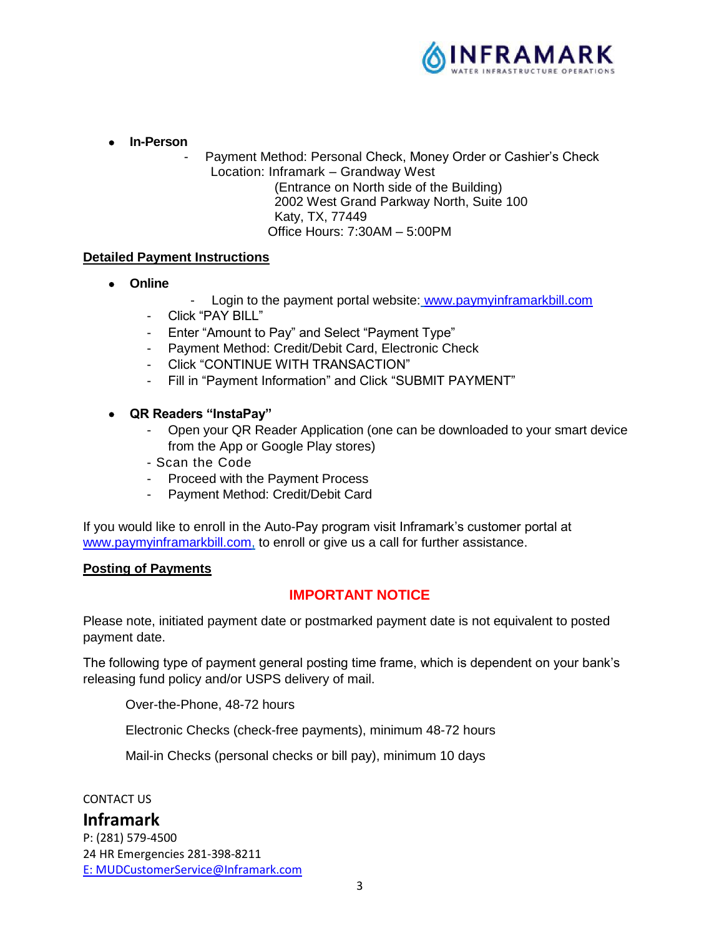

**In-Person**

Payment Method: Personal Check, Money Order or Cashier's Check Location: Inframark – Grandway West (Entrance on North side of the Building) 2002 West Grand Parkway North, Suite 100

Katy, TX, 77449

Office Hours: 7:30AM – 5:00PM

## **Detailed Payment Instructions**

- **Online**
- Login to the payment portal website: www.paymyinframarkbill.com
- Click "PAY BILL"
- Enter "Amount to Pay" and Select "Payment Type"
- Payment Method: Credit/Debit Card, Electronic Check
- Click "CONTINUE WITH TRANSACTION"
- Fill in "Payment Information" and Click "SUBMIT PAYMENT"
- **QR Readers "InstaPay"**
	- Open your QR Reader Application (one can be downloaded to your smart device from the App or Google Play stores)
	- Scan the Code
	- Proceed with the Payment Process
	- Payment Method: Credit/Debit Card

If you would like to enroll in the Auto-Pay program visit Inframark's customer portal at www.paymyinframarkbill.com, to enroll or give us a call for further assistance.

## **Posting of Payments**

## **IMPORTANT NOTICE**

Please note, initiated payment date or postmarked payment date is not equivalent to posted payment date.

The following type of payment general posting time frame, which is dependent on your bank's releasing fund policy and/or USPS delivery of mail.

Over-the-Phone, 48-72 hours

Electronic Checks (check-free payments), minimum 48-72 hours

Mail-in Checks (personal checks or bill pay), minimum 10 days

CONTACT US

# **Inframark**

P: (281) 579-4500 24 HR Emergencies 281-398-8211 E: MUDCustomerService@Inframark.com